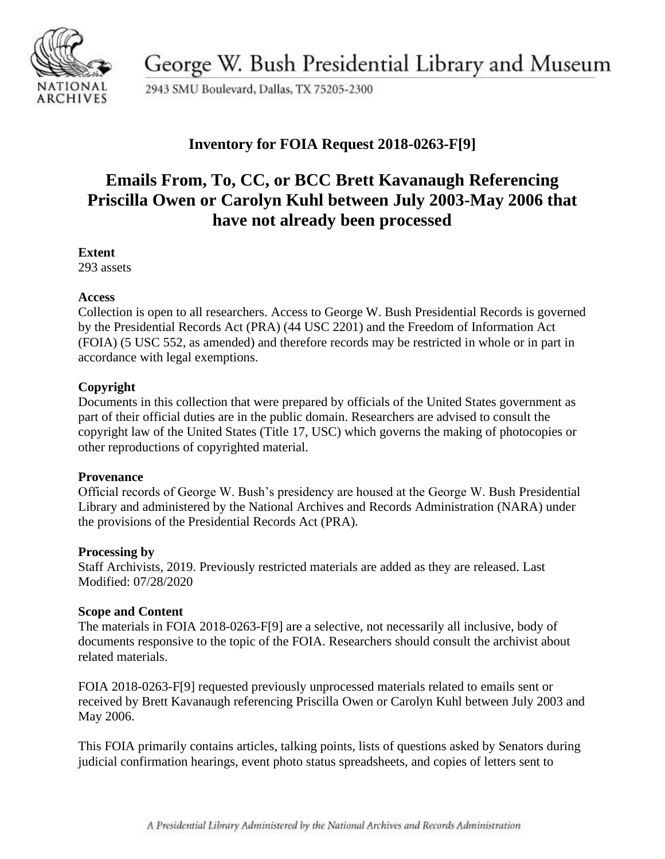

George W. Bush Presidential Library and Museum

2943 SMU Boulevard, Dallas, TX 75205-2300

## **Inventory for FOIA Request 2018-0263-F[9]**

# **Emails From, To, CC, or BCC Brett Kavanaugh Referencing Priscilla Owen or Carolyn Kuhl between July 2003-May 2006 that have not already been processed**

#### **Extent**

293 assets

#### **Access**

Collection is open to all researchers. Access to George W. Bush Presidential Records is governed by the Presidential Records Act (PRA) (44 USC 2201) and the Freedom of Information Act (FOIA) (5 USC 552, as amended) and therefore records may be restricted in whole or in part in accordance with legal exemptions.

### **Copyright**

Documents in this collection that were prepared by officials of the United States government as part of their official duties are in the public domain. Researchers are advised to consult the copyright law of the United States (Title 17, USC) which governs the making of photocopies or other reproductions of copyrighted material.

#### **Provenance**

 Official records of George W. Bush's presidency are housed at the George W. Bush Presidential Library and administered by the National Archives and Records Administration (NARA) under the provisions of the Presidential Records Act (PRA).

#### **Processing by**

Staff Archivists, 2019. Previously restricted materials are added as they are released. Last Modified: 07/28/2020

#### **Scope and Content**

The materials in FOIA 2018-0263-F[9] are a selective, not necessarily all inclusive, body of documents responsive to the topic of the FOIA. Researchers should consult the archivist about related materials.

FOIA 2018-0263-F[9] requested previously unprocessed materials related to emails sent or received by Brett Kavanaugh referencing Priscilla Owen or Carolyn Kuhl between July 2003 and May 2006.

This FOIA primarily contains articles, talking points, lists of questions asked by Senators during judicial confirmation hearings, event photo status spreadsheets, and copies of letters sent to